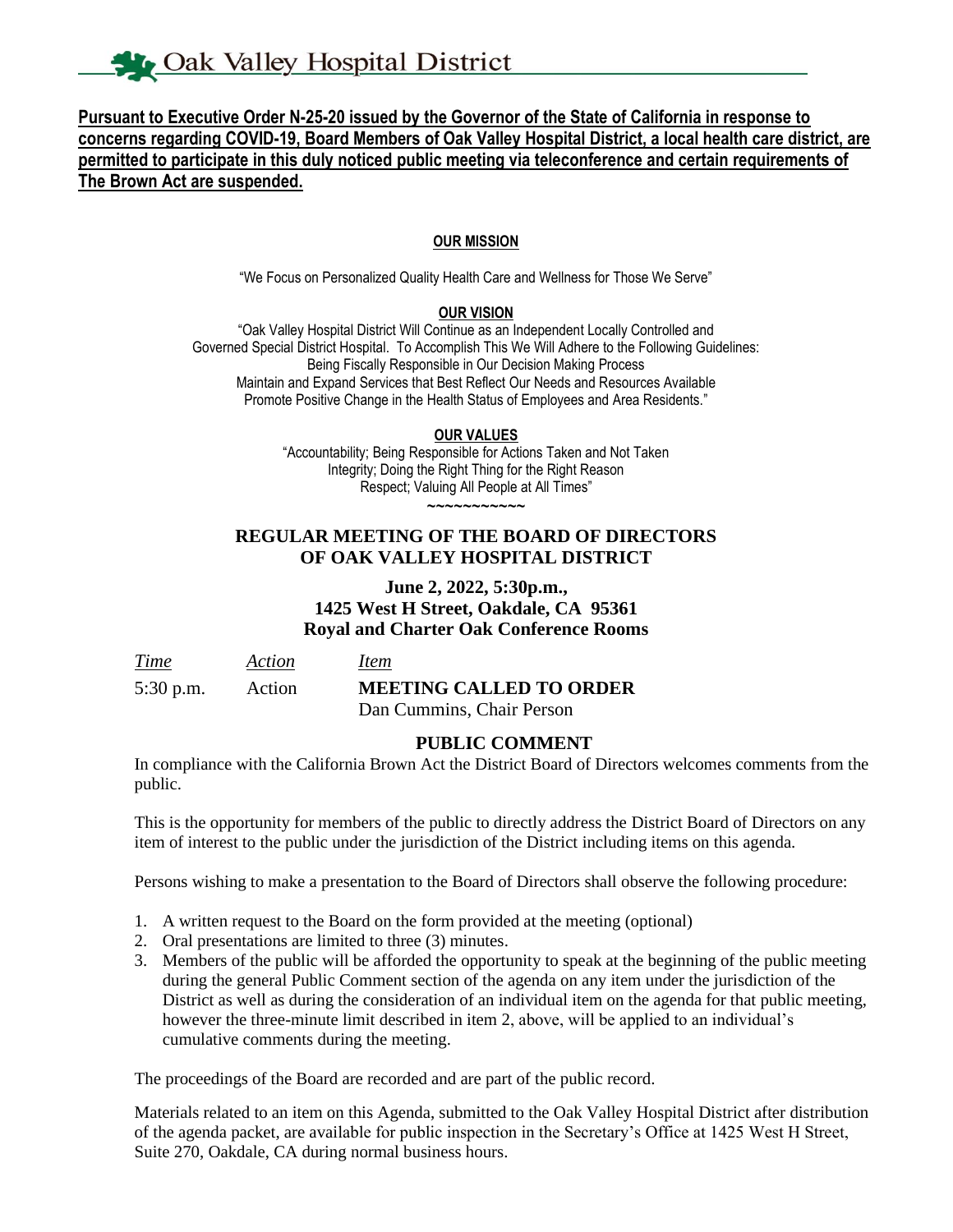**Pursuant to Executive Order N-25-20 issued by the Governor of the State of California in response to concerns regarding COVID-19, Board Members of Oak Valley Hospital District, a local health care district, are permitted to participate in this duly noticed public meeting via teleconference and certain requirements of The Brown Act are suspended.**

#### **OUR MISSION**

"We Focus on Personalized Quality Health Care and Wellness for Those We Serve"

#### **OUR VISION**

"Oak Valley Hospital District Will Continue as an Independent Locally Controlled and Governed Special District Hospital. To Accomplish This We Will Adhere to the Following Guidelines: Being Fiscally Responsible in Our Decision Making Process Maintain and Expand Services that Best Reflect Our Needs and Resources Available Promote Positive Change in the Health Status of Employees and Area Residents."

#### **OUR VALUES**

"Accountability; Being Responsible for Actions Taken and Not Taken Integrity; Doing the Right Thing for the Right Reason Respect; Valuing All People at All Times" ~~~~~~~~~~~

# **REGULAR MEETING OF THE BOARD OF DIRECTORS OF OAK VALLEY HOSPITAL DISTRICT**

# **June 2, 2022, 5:30p.m., 1425 West H Street, Oakdale, CA 95361 Royal and Charter Oak Conference Rooms**

| Time        | Action | <i>Item</i>                    |
|-------------|--------|--------------------------------|
| $5:30$ p.m. | Action | <b>MEETING CALLED TO ORDER</b> |
|             |        | Dan Cummins, Chair Person      |

# **PUBLIC COMMENT**

In compliance with the California Brown Act the District Board of Directors welcomes comments from the public.

This is the opportunity for members of the public to directly address the District Board of Directors on any item of interest to the public under the jurisdiction of the District including items on this agenda.

Persons wishing to make a presentation to the Board of Directors shall observe the following procedure:

- 1. A written request to the Board on the form provided at the meeting (optional)
- 2. Oral presentations are limited to three (3) minutes.
- 3. Members of the public will be afforded the opportunity to speak at the beginning of the public meeting during the general Public Comment section of the agenda on any item under the jurisdiction of the District as well as during the consideration of an individual item on the agenda for that public meeting, however the three-minute limit described in item 2, above, will be applied to an individual's cumulative comments during the meeting.

The proceedings of the Board are recorded and are part of the public record.

Materials related to an item on this Agenda, submitted to the Oak Valley Hospital District after distribution of the agenda packet, are available for public inspection in the Secretary's Office at 1425 West H Street, Suite 270, Oakdale, CA during normal business hours.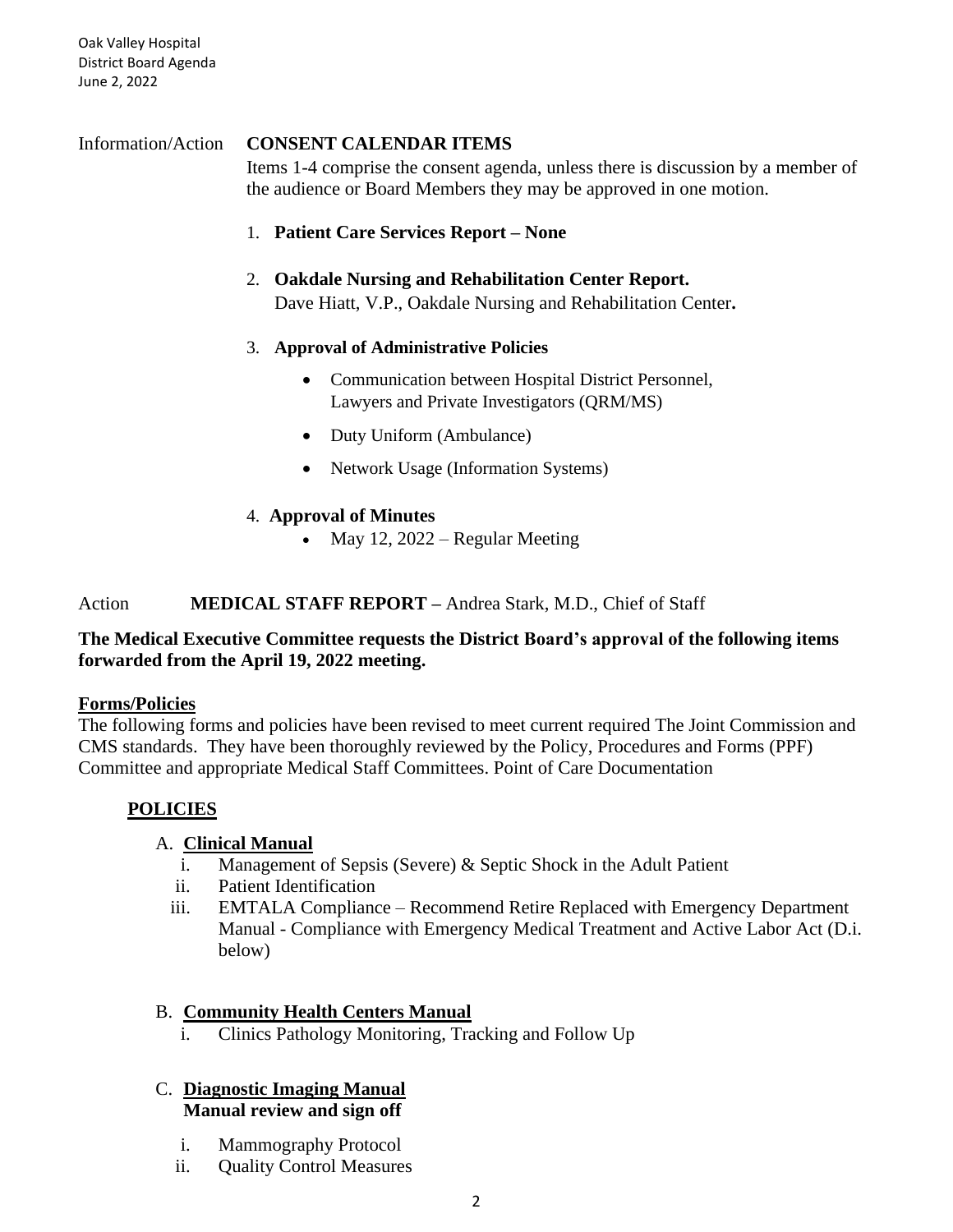Oak Valley Hospital District Board Agenda June 2, 2022

# Information/Action **CONSENT CALENDAR ITEMS**

Items 1-4 comprise the consent agenda, unless there is discussion by a member of the audience or Board Members they may be approved in one motion.

1. **Patient Care Services Report – None**

# 2. **Oakdale Nursing and Rehabilitation Center Report.**  Dave Hiatt, V.P., Oakdale Nursing and Rehabilitation Center**.**

# 3. **Approval of Administrative Policies**

- Communication between Hospital District Personnel, Lawyers and Private Investigators (QRM/MS)
- Duty Uniform (Ambulance)
- Network Usage (Information Systems)

# 4. **Approval of Minutes**

• May 12,  $2022$  – Regular Meeting

# Action **MEDICAL STAFF REPORT –** Andrea Stark, M.D., Chief of Staff

# **The Medical Executive Committee requests the District Board's approval of the following items forwarded from the April 19, 2022 meeting.**

# **Forms/Policies**

The following forms and policies have been revised to meet current required The Joint Commission and CMS standards. They have been thoroughly reviewed by the Policy, Procedures and Forms (PPF) Committee and appropriate Medical Staff Committees. Point of Care Documentation

# **POLICIES**

# A. **Clinical Manual**

- i. Management of Sepsis (Severe) & Septic Shock in the Adult Patient
- ii. Patient Identification
- iii. EMTALA Compliance Recommend Retire Replaced with Emergency Department Manual - Compliance with Emergency Medical Treatment and Active Labor Act (D.i. below)

# B. **Community Health Centers Manual**

i. Clinics Pathology Monitoring, Tracking and Follow Up

### C. **Diagnostic Imaging Manual Manual review and sign off**

- i. Mammography Protocol
- ii. Quality Control Measures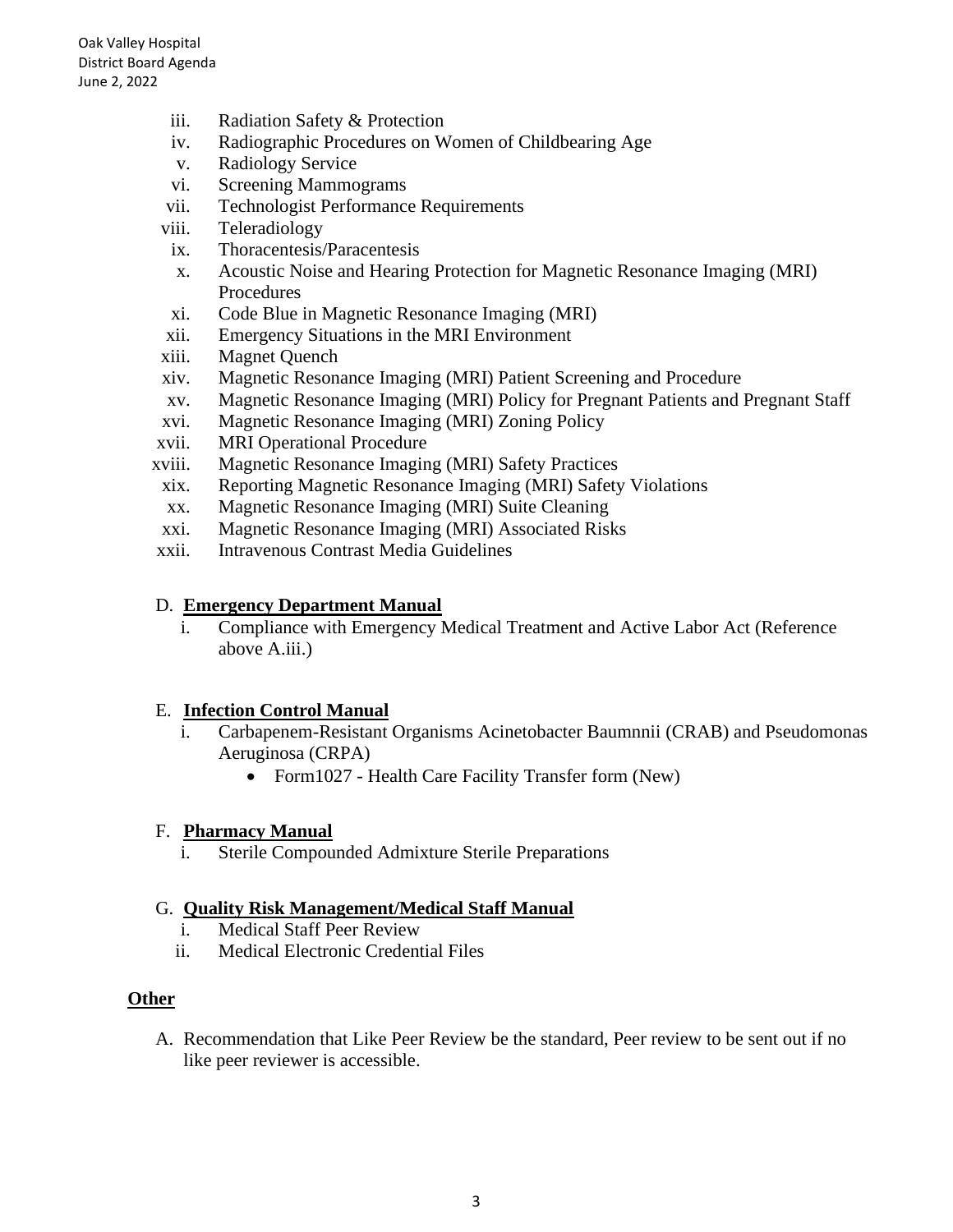- iii. Radiation Safety & Protection
- iv. Radiographic Procedures on Women of Childbearing Age
- v. Radiology Service
- vi. Screening Mammograms
- vii. Technologist Performance Requirements
- viii. Teleradiology
- ix. Thoracentesis/Paracentesis
- x. Acoustic Noise and Hearing Protection for Magnetic Resonance Imaging (MRI) Procedures
- xi. Code Blue in Magnetic Resonance Imaging (MRI)
- xii. Emergency Situations in the MRI Environment
- xiii. Magnet Quench
- xiv. Magnetic Resonance Imaging (MRI) Patient Screening and Procedure
- xv. Magnetic Resonance Imaging (MRI) Policy for Pregnant Patients and Pregnant Staff
- xvi. Magnetic Resonance Imaging (MRI) Zoning Policy
- xvii. MRI Operational Procedure
- xviii. Magnetic Resonance Imaging (MRI) Safety Practices
- xix. Reporting Magnetic Resonance Imaging (MRI) Safety Violations
- xx. Magnetic Resonance Imaging (MRI) Suite Cleaning
- xxi. Magnetic Resonance Imaging (MRI) Associated Risks
- xxii. Intravenous Contrast Media Guidelines

#### D. **Emergency Department Manual**

i. Compliance with Emergency Medical Treatment and Active Labor Act (Reference above A.iii.)

#### E. **Infection Control Manual**

- i. Carbapenem-Resistant Organisms Acinetobacter Baumnnii (CRAB) and Pseudomonas Aeruginosa (CRPA)
	- Form1027 Health Care Facility Transfer form (New)

#### F. **Pharmacy Manual**

i. Sterile Compounded Admixture Sterile Preparations

#### G. **Quality Risk Management/Medical Staff Manual**

- i. Medical Staff Peer Review
- ii. Medical Electronic Credential Files

#### **Other**

A. Recommendation that Like Peer Review be the standard, Peer review to be sent out if no like peer reviewer is accessible.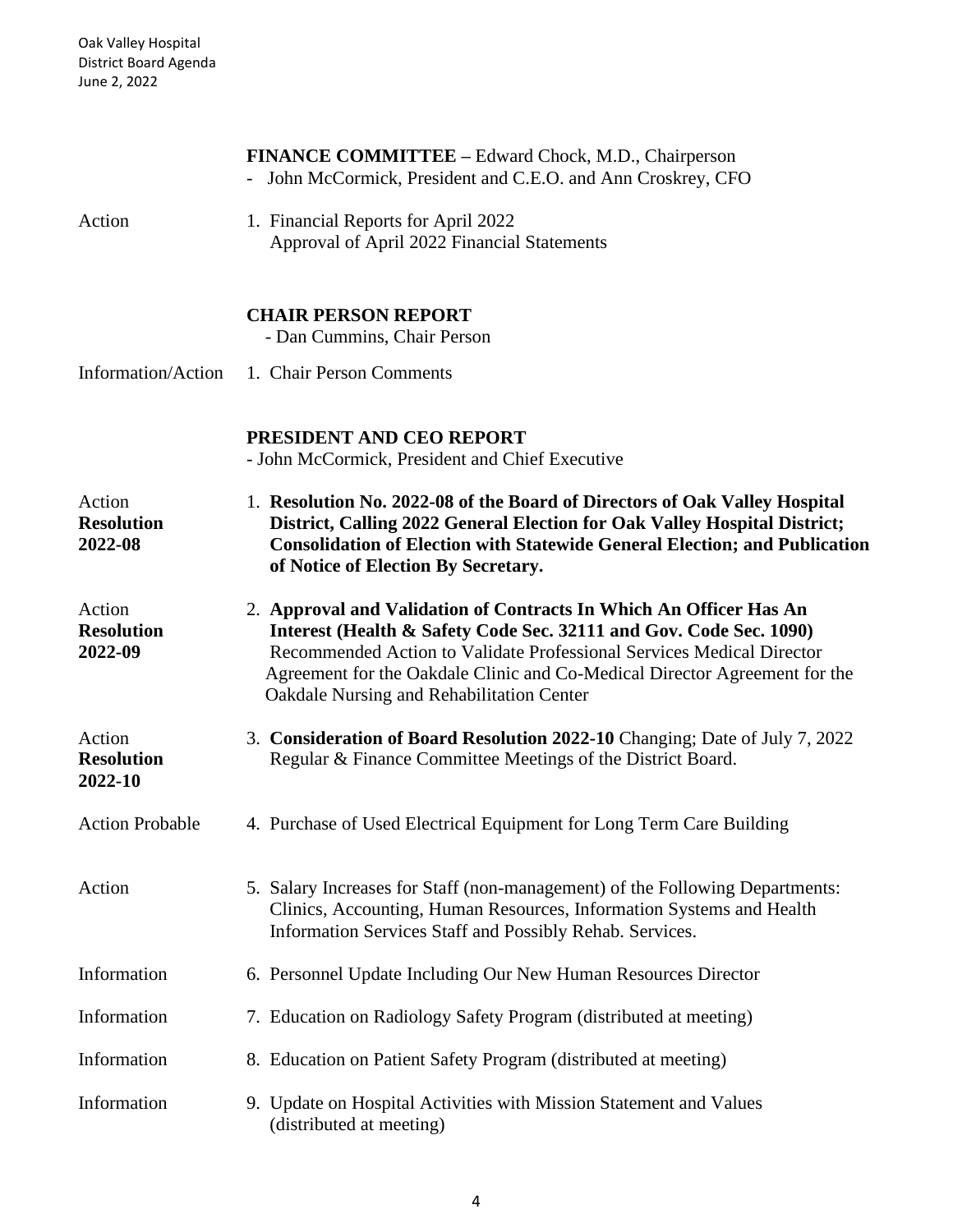|                                        | <b>FINANCE COMMITTEE – Edward Chock, M.D., Chairperson</b><br>- John McCormick, President and C.E.O. and Ann Croskrey, CFO                                                                                                                                                                                                                   |
|----------------------------------------|----------------------------------------------------------------------------------------------------------------------------------------------------------------------------------------------------------------------------------------------------------------------------------------------------------------------------------------------|
| Action                                 | 1. Financial Reports for April 2022<br>Approval of April 2022 Financial Statements                                                                                                                                                                                                                                                           |
|                                        | <b>CHAIR PERSON REPORT</b><br>- Dan Cummins, Chair Person                                                                                                                                                                                                                                                                                    |
| Information/Action                     | 1. Chair Person Comments                                                                                                                                                                                                                                                                                                                     |
|                                        | PRESIDENT AND CEO REPORT<br>- John McCormick, President and Chief Executive                                                                                                                                                                                                                                                                  |
| Action<br><b>Resolution</b><br>2022-08 | 1. Resolution No. 2022-08 of the Board of Directors of Oak Valley Hospital<br>District, Calling 2022 General Election for Oak Valley Hospital District;<br><b>Consolidation of Election with Statewide General Election; and Publication</b><br>of Notice of Election By Secretary.                                                          |
| Action<br><b>Resolution</b><br>2022-09 | 2. Approval and Validation of Contracts In Which An Officer Has An<br>Interest (Health & Safety Code Sec. 32111 and Gov. Code Sec. 1090)<br>Recommended Action to Validate Professional Services Medical Director<br>Agreement for the Oakdale Clinic and Co-Medical Director Agreement for the<br>Oakdale Nursing and Rehabilitation Center |
| Action<br><b>Resolution</b><br>2022-10 | 3. Consideration of Board Resolution 2022-10 Changing; Date of July 7, 2022<br>Regular & Finance Committee Meetings of the District Board.                                                                                                                                                                                                   |
| <b>Action Probable</b>                 | 4. Purchase of Used Electrical Equipment for Long Term Care Building                                                                                                                                                                                                                                                                         |
| Action                                 | 5. Salary Increases for Staff (non-management) of the Following Departments:<br>Clinics, Accounting, Human Resources, Information Systems and Health<br>Information Services Staff and Possibly Rehab. Services.                                                                                                                             |
| Information                            | 6. Personnel Update Including Our New Human Resources Director                                                                                                                                                                                                                                                                               |
| Information                            | 7. Education on Radiology Safety Program (distributed at meeting)                                                                                                                                                                                                                                                                            |
| Information                            | 8. Education on Patient Safety Program (distributed at meeting)                                                                                                                                                                                                                                                                              |
| Information                            | 9. Update on Hospital Activities with Mission Statement and Values<br>(distributed at meeting)                                                                                                                                                                                                                                               |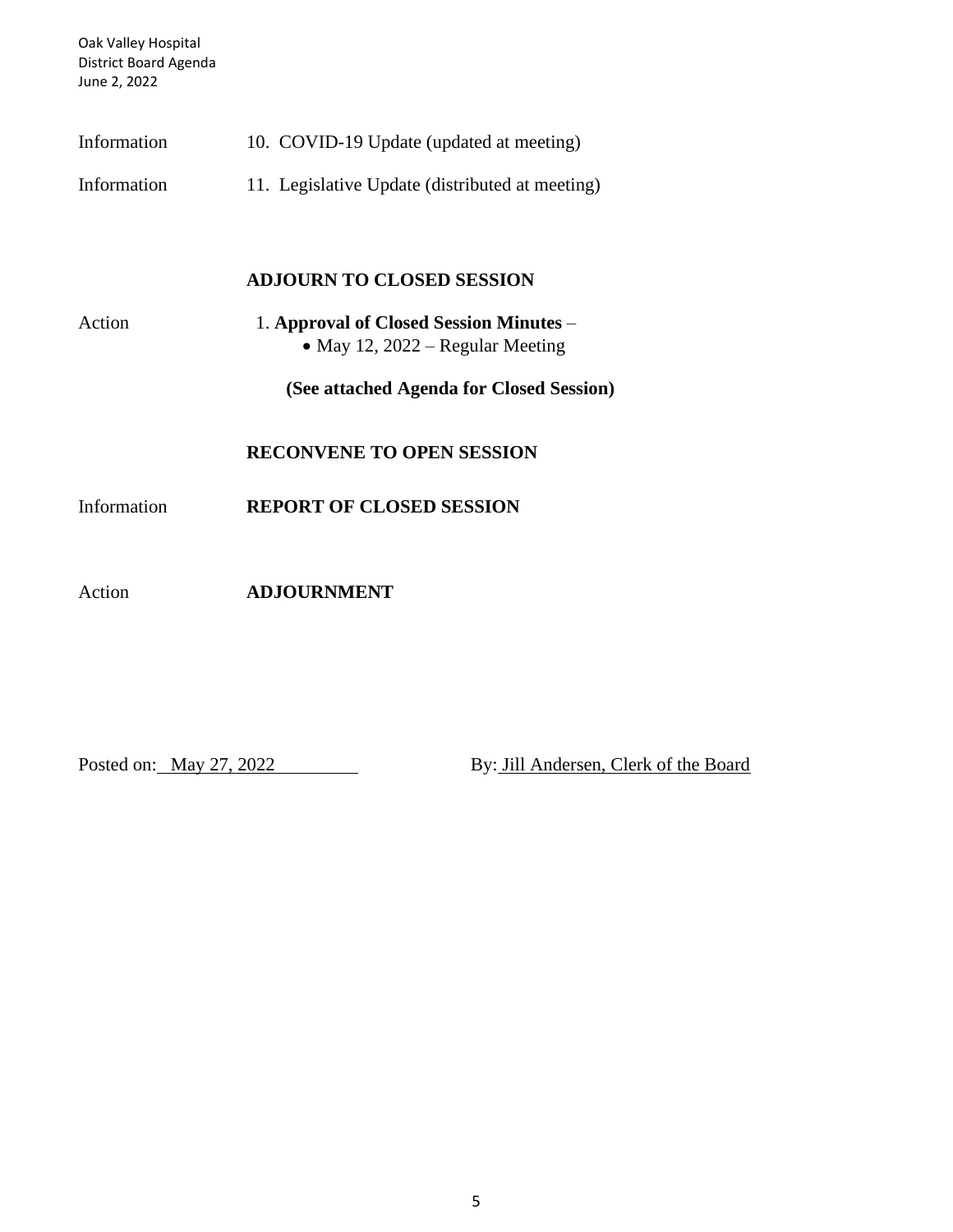Oak Valley Hospital District Board Agenda June 2, 2022

| Information |  |  | 10. COVID-19 Update (updated at meeting) |
|-------------|--|--|------------------------------------------|
|-------------|--|--|------------------------------------------|

Information 11. Legislative Update (distributed at meeting)

### **ADJOURN TO CLOSED SESSION**

| Action | 1. Approval of Closed Session Minutes – |
|--------|-----------------------------------------|
|        | • May 12, 2022 – Regular Meeting        |

**(See attached Agenda for Closed Session)**

#### **RECONVENE TO OPEN SESSION**

Information **REPORT OF CLOSED SESSION**

Action **ADJOURNMENT**

Posted on: May 27, 2022 By: Jill Andersen, Clerk of the Board